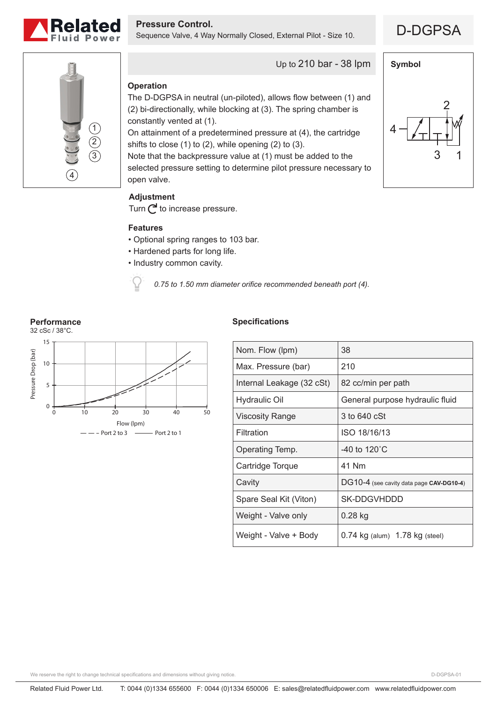

**Pressure Control.**<br>Sequence Valve, 4 Way Normally Closed, External Pilot - Size 10. **D-DGPSA** 





Up to 210 bar - 38 lpm

### **Operation**

The D-DGPSA in neutral (un-piloted), allows flow between (1) and (2) bi-directionally, while blocking at (3). The spring chamber is constantly vented at (1).

On attainment of a predetermined pressure at (4), the cartridge shifts to close (1) to (2), while opening (2) to (3).

Note that the backpressure value at (1) must be added to the selected pressure setting to determine pilot pressure necessary to open valve.

## **Adjustment**

Turn  $\bigcap$  to increase pressure.

#### **Features**

- Optional spring ranges to 103 bar.
- Hardened parts for long life.
- Industry common cavity.

*0.75 to 1.50 mm diameter orifice recommended beneath port (4).*

#### **Performance**



#### **Specifications**

| Nom. Flow (lpm)           | 38                                       |
|---------------------------|------------------------------------------|
| Max. Pressure (bar)       | 210                                      |
| Internal Leakage (32 cSt) | 82 cc/min per path                       |
| <b>Hydraulic Oil</b>      | General purpose hydraulic fluid          |
| <b>Viscosity Range</b>    | 3 to 640 cSt                             |
| Filtration                | ISO 18/16/13                             |
| Operating Temp.           | -40 to 120 $^{\circ}$ C                  |
| Cartridge Torque          | 41 Nm                                    |
| Cavity                    | DG10-4 (see cavity data page CAV-DG10-4) |
| Spare Seal Kit (Viton)    | SK-DDGVHDDD                              |
| Weight - Valve only       | 0.28 kg                                  |
| Weight - Valve + Body     | $0.74$ kg (alum) $1.78$ kg (steel)       |

# 1 4 2 3 **Symbol**

We reserve the right to change technical specifications and dimensions without giving notice.